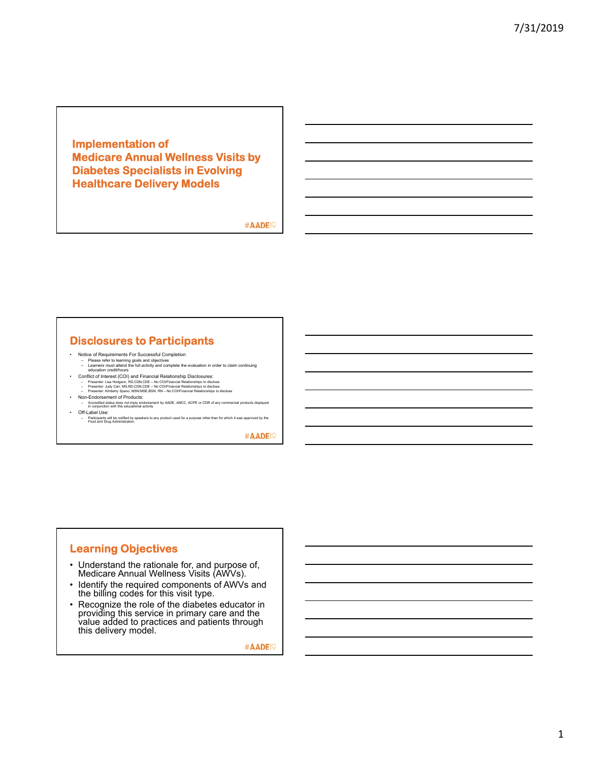# **Implementation of Medicare Annual Wellness Visits by Diabetes Specialists in Evolving Healthcare Delivery Models**

#AADE<sup>19</sup>

# **Disclosures to Participants**

- 
- Notice of Requirements For Successful Completion<br>– Please refer to learning goals and objectives<br>– tearners must attend the full activity and complete the evaluation in order to claim continuing<br>– education credit/hours
- Conflict of Interest (COI) and Financial Relationship Disclosures:
- Presenter: Lisa Hodgson, RD,CDN,CDE No COI/Financial Relationships to disclose<br>- Presenter: Judy Carr, MS,RD,CDN,CDE No COI/Financial Relationships to disclose<br>- Presenter: Kimberly Spano, MSN,MSE,BSN, RN No COI/Fi
- 
- Accredited status does not imply endorsement by AADE, ANCC, ACPE or CDR of any commercial products displayed in conjunction with this educational activity • Off-Label Use:
- Participants will be notified by speakers to any product used for a purpose other than for which it was approved by the Food and Drug Administration.

#AADE<sup>19</sup>

# **Learning Objectives**

- Understand the rationale for, and purpose of, Medicare Annual Wellness Visits (AWVs).
- Identify the required components of AWVs and the billing codes for this visit type.
- Recognize the role of the diabetes educator in providing this service in primary care and the value added to practices and patients through this delivery model.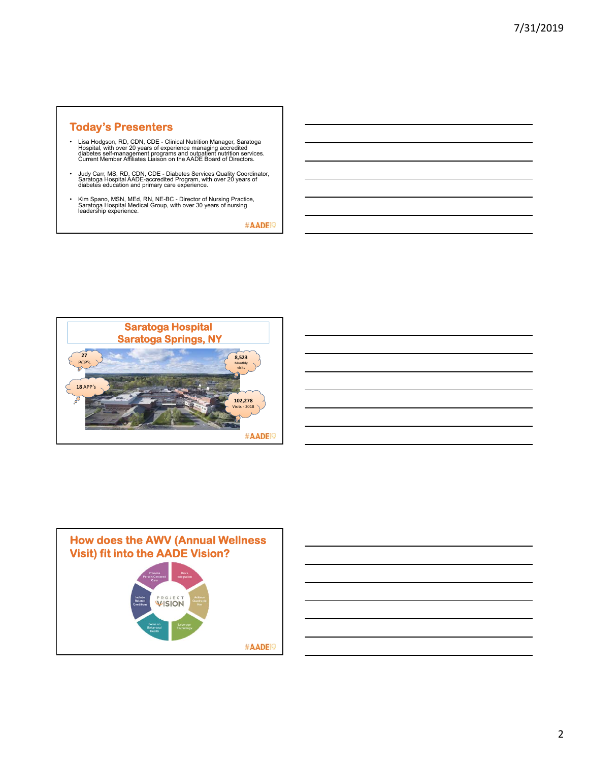### **Today's Presenters**

- Lisa Hodgson, RD, CDN, CDE Clinical Nutrition Manager, Saratoga<br>Hospital, with over 20 years of experience managing accredited<br>diabetes self-management programs and outpatient nutrition services.<br>Current Member Affilia
- Judy Carr, MS, RD, CDN, CDE Diabetes Services Quality Coordinator, Saratoga Hospital AADE-accredited Program, with over 20 years of diabetes education and primary care experience.
- Kim Spano, MSN, MEd, RN, NE-BC Director of Nursing Practice, Saratoga Hospital Medical Group, with over 30 years of nursing leadership experience.





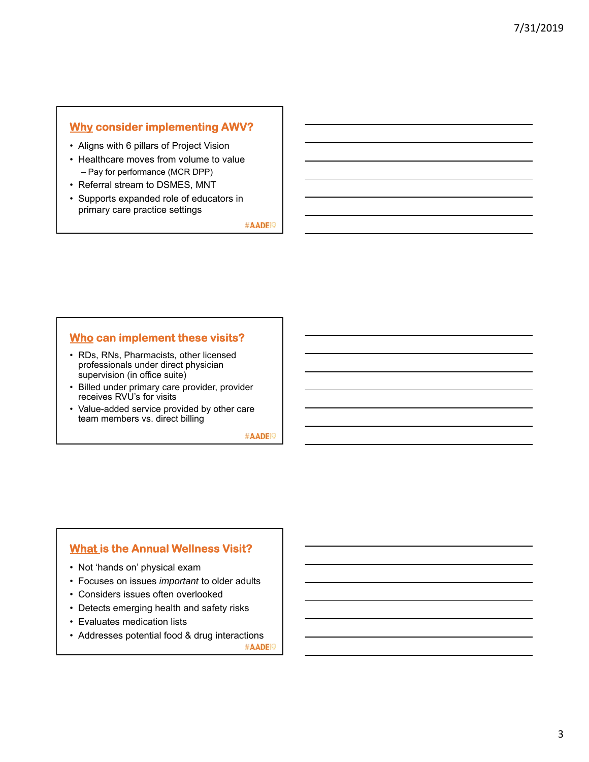## **Why consider implementing AWV?**

- Aligns with 6 pillars of Project Vision
- Healthcare moves from volume to value – Pay for performance (MCR DPP)
- Referral stream to DSMES, MNT
- Supports expanded role of educators in primary care practice settings

#AADE<sup>19</sup>

#### **Who can implement these visits?**

- RDs, RNs, Pharmacists, other licensed professionals under direct physician supervision (in office suite)
- Billed under primary care provider, provider receives RVU's for visits
- Value-added service provided by other care team members vs. direct billing

#AADE<sup>19</sup>

#### **What is the Annual Wellness Visit?**

- Not 'hands on' physical exam
- Focuses on issues *important* to older adults
- Considers issues often overlooked
- Detects emerging health and safety risks
- Evaluates medication lists
- Addresses potential food & drug interactions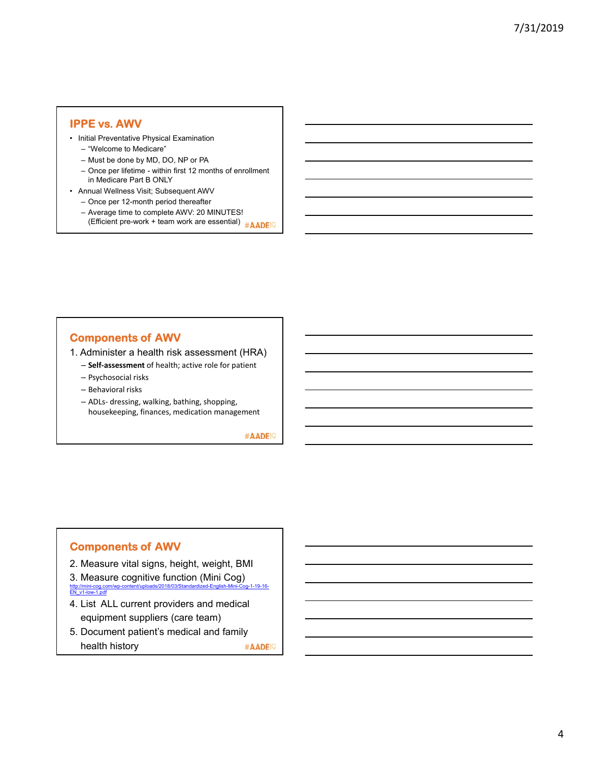### **IPPE vs. AWV**

- Initial Preventative Physical Examination
	- "Welcome to Medicare"
	- Must be done by MD, DO, NP or PA
	- Once per lifetime within first 12 months of enrollment in Medicare Part B ONLY
- Annual Wellness Visit; Subsequent AWV
	- Once per 12-month period thereafter
	- Average time to complete AWV: 20 MINUTES!
	- (Efficient pre-work + team work are essential)  $\#$ AADEI

## **Components of AWV**

1. Administer a health risk assessment (HRA)

- **Self‐assessment** of health; active role for patient
- Psychosocial risks
- Behavioral risks
- ADLs‐ dressing, walking, bathing, shopping, housekeeping, finances, medication management

#AADE<sup>19</sup>

## **Components of AWV**

2. Measure vital signs, height, weight, BMI

- 3. Measure cognitive function (Mini Cog) http://mini-cog.com/wp-content/uploads/2018/03/Standardized-English-Mini-Cog-1-19-16- EN\_v1-low-1.pdf
- 4. List ALL current providers and medical equipment suppliers (care team)
- 5. Document patient's medical and family health history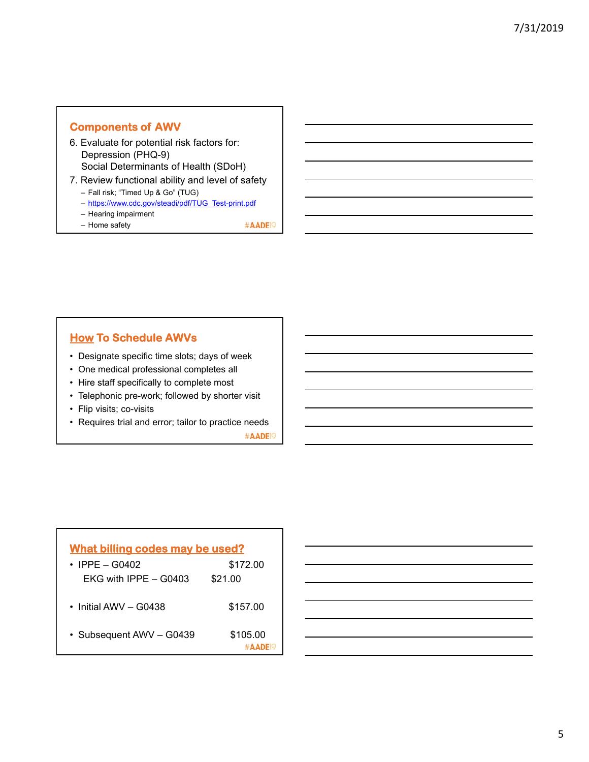## **Components of AWV**

- 6. Evaluate for potential risk factors for: Depression (PHQ-9) Social Determinants of Health (SDoH)
- 7. Review functional ability and level of safety – Fall risk; "Timed Up & Go" (TUG)
	- https://www.cdc.gov/steadi/pdf/TUG\_Test-print.pdf
	- Hearing impairment
	- Home safety

#AADE<sup>19</sup>

# **How To Schedule AWVs**

- Designate specific time slots; days of week
- One medical professional completes all
- Hire staff specifically to complete most
- Telephonic pre-work; followed by shorter visit
- Flip visits; co-visits
- Requires trial and error; tailor to practice needs

| What billing codes may be used? |                                 |  |  |  |  |
|---------------------------------|---------------------------------|--|--|--|--|
| • IPPE – G0402                  | \$172.00                        |  |  |  |  |
| $EKG$ with IPPE $-$ G0403       | \$21.00                         |  |  |  |  |
| • Initial AWV – G0438           | \$157.00                        |  |  |  |  |
| • Subsequent AWV - G0439        | \$105.00<br><b><i>HAADE</i></b> |  |  |  |  |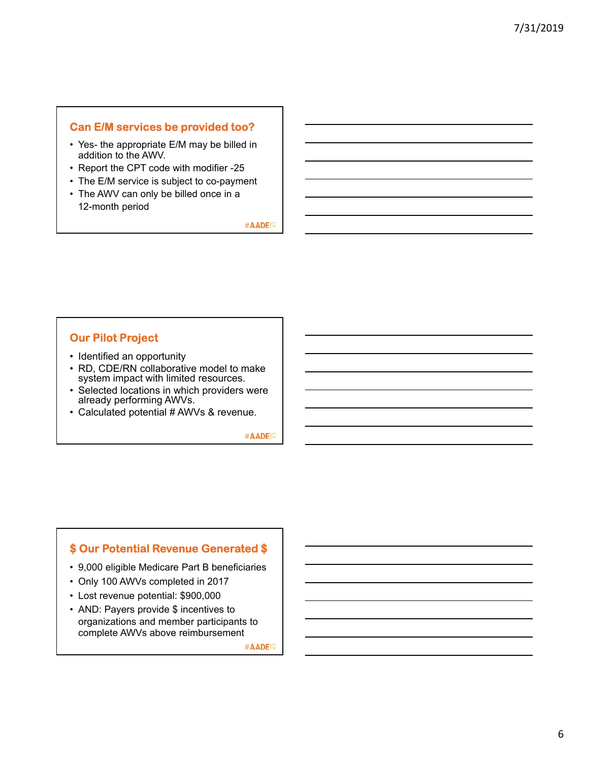### **Can E/M services be provided too?**

- Yes- the appropriate E/M may be billed in addition to the AWV.
- Report the CPT code with modifier -25
- The E/M service is subject to co-payment
- The AWV can only be billed once in a 12-month period

#AADE<sup>19</sup>

# **Our Pilot Project**

- Identified an opportunity
- RD, CDE/RN collaborative model to make system impact with limited resources.
- Selected locations in which providers were already performing AWVs.
- Calculated potential # AWVs & revenue.

#AADE<sup>19</sup>

#### **\$ Our Potential Revenue Generated \$**

- 9,000 eligible Medicare Part B beneficiaries
- Only 100 AWVs completed in 2017
- Lost revenue potential: \$900,000
- AND: Payers provide \$ incentives to organizations and member participants to complete AWVs above reimbursement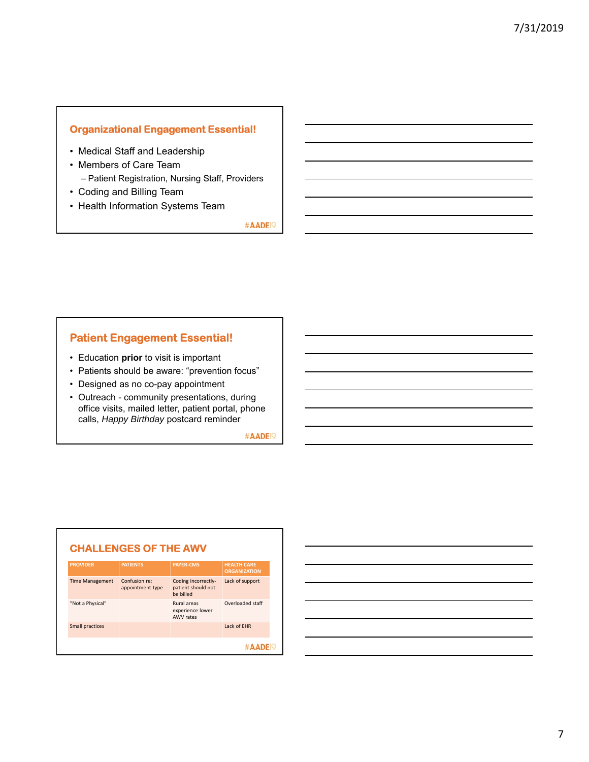# **Organizational Engagement Essential!**

- Medical Staff and Leadership
- Members of Care Team – Patient Registration, Nursing Staff, Providers
- Coding and Billing Team
- Health Information Systems Team

#AADE<sup>19</sup>

# **Patient Engagement Essential!**

- Education **prior** to visit is important
- Patients should be aware: "prevention focus"
- Designed as no co-pay appointment
- Outreach community presentations, during office visits, mailed letter, patient portal, phone calls, *Happy Birthday* postcard reminder

| <b>PROVIDER</b>        | <b>PATIENTS</b>                   | <b>PAYER-CMS</b>                                           | <b>HEALTH CARE</b><br><b>ORGANIZATION</b> |
|------------------------|-----------------------------------|------------------------------------------------------------|-------------------------------------------|
| <b>Time Management</b> | Confusion re:<br>appointment type | Coding incorrectly-<br>patient should not<br>be billed     | Lack of support                           |
| "Not a Physical"       |                                   | <b>Rural areas</b><br>experience lower<br><b>AWV</b> rates | Overloaded staff                          |
| Small practices        |                                   |                                                            | Lack of EHR                               |

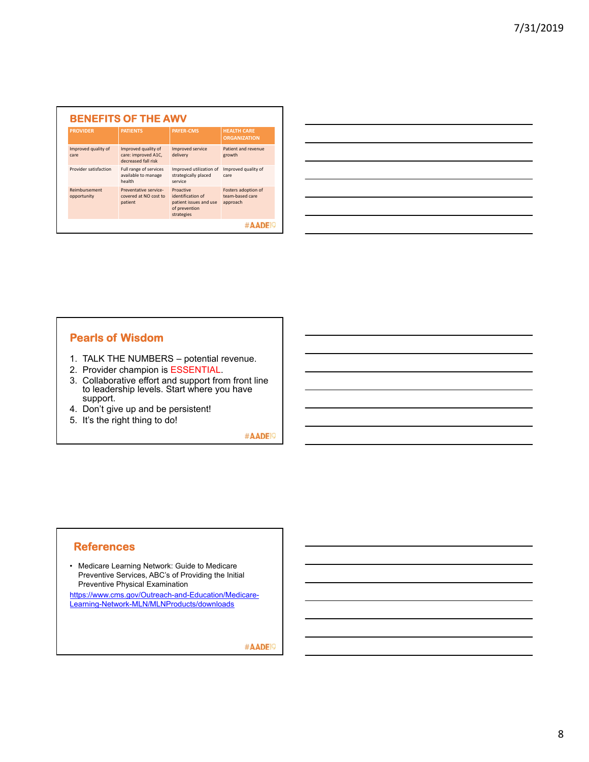| <b>PROVIDER</b>              | <b>PATIENTS</b>                                                   | <b>PAYER-CMS</b>                                                                        | <b>HEALTH CARE</b><br><b>ORGANIZATION</b>          |
|------------------------------|-------------------------------------------------------------------|-----------------------------------------------------------------------------------------|----------------------------------------------------|
| Improved quality of<br>care  | Improved quality of<br>care: improved A1C,<br>decreased fall risk | Improved service<br>delivery                                                            | Patient and revenue<br>growth                      |
| Provider satisfaction        | Full range of services<br>available to manage<br>health           | Improved utilization of<br>strategically placed<br>service                              | Improved quality of<br>care                        |
| Reimbursement<br>opportunity | Preventative service-<br>covered at NO cost to<br>patient         | Proactive<br>identification of<br>patient issues and use<br>of prevention<br>strategies | Fosters adoption of<br>team-based care<br>approach |

| <u> 1989 - Andrea Andrew Maria (h. 1989).</u>                                                                         |  |  |
|-----------------------------------------------------------------------------------------------------------------------|--|--|
| and the control of the control of the control of the control of the control of the control of the control of th       |  |  |
| <u> 1989 - Andrea Andrew Maria (h. 1989).</u>                                                                         |  |  |
| and the control of the control of the control of the control of the control of the control of the control of th       |  |  |
| <u> 1989 - Johann Stoff, deutscher Stoff, der Stoff, der Stoff, der Stoff, der Stoff, der Stoff, der Stoff, der S</u> |  |  |
|                                                                                                                       |  |  |

# **Pearls of Wisdom**

- 1. TALK THE NUMBERS potential revenue.
- 2. Provider champion is ESSENTIAL.
- 3. Collaborative effort and support from front line to leadership levels. Start where you have support.
- 4. Don't give up and be persistent!
- 5. It's the right thing to do!

#AADE<sup>19</sup>

 $\overline{\phantom{0}}$ 

#### **References**

• Medicare Learning Network: Guide to Medicare Preventive Services, ABC's of Providing the Initial Preventive Physical Examination

https://www.cms.gov/Outreach-and-Education/Medicare-Learning-Network-MLN/MLNProducts/downloads